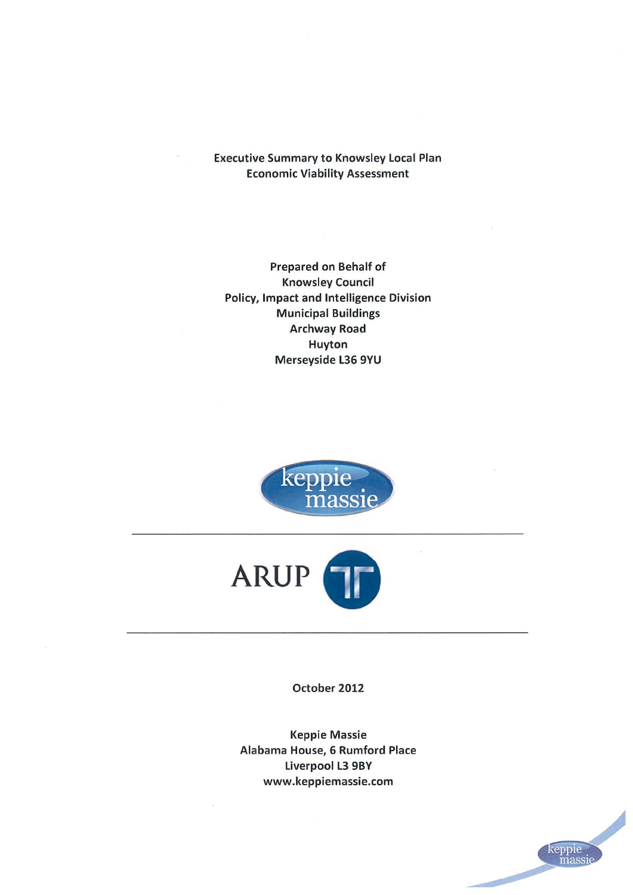**Executive Summary to Knowsley Local Plan Economic Viability Assessment** 

**Prepared on Behalf of Knowsley Council Policy, Impact and Intelligence Division Municipal Buildings Archway Road Huyton** Merseyside L36 9YU





October 2012

**Keppie Massie** Alabama House, 6 Rumford Place **Liverpool L3 9BY** www.keppiemassie.com

keppie<br>massiq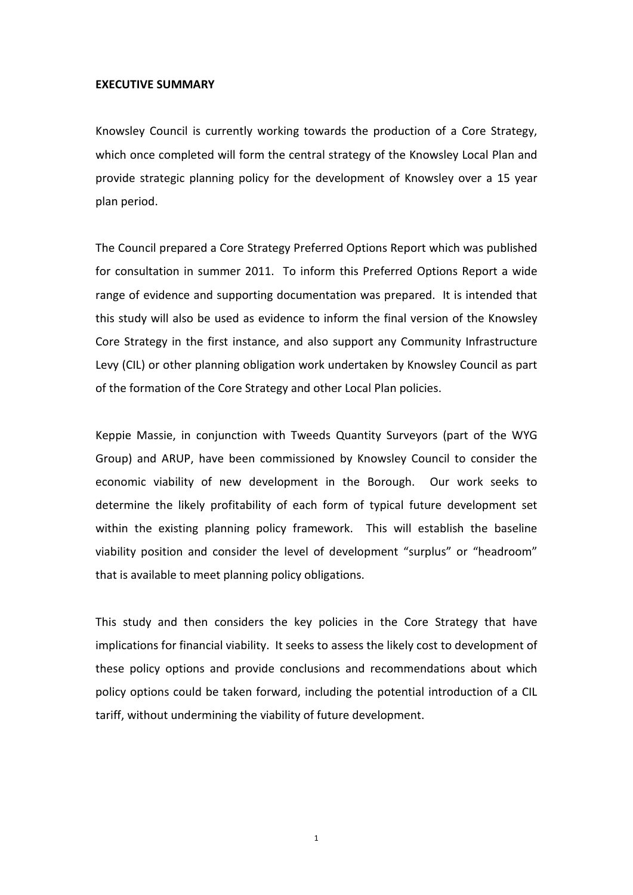#### **EXECUTIVE SUMMARY**

Knowsley Council is currently working towards the production of a Core Strategy, which once completed will form the central strategy of the Knowsley Local Plan and provide strategic planning policy for the development of Knowsley over a 15 year plan period.

The Council prepared a Core Strategy Preferred Options Report which was published for consultation in summer 2011. To inform this Preferred Options Report a wide range of evidence and supporting documentation was prepared. It is intended that this study will also be used as evidence to inform the final version of the Knowsley Core Strategy in the first instance, and also support any Community Infrastructure Levy (CIL) or other planning obligation work undertaken by Knowsley Council as part of the formation of the Core Strategy and other Local Plan policies.

Keppie Massie, in conjunction with Tweeds Quantity Surveyors (part of the WYG Group) and ARUP, have been commissioned by Knowsley Council to consider the economic viability of new development in the Borough. Our work seeks to determine the likely profitability of each form of typical future development set within the existing planning policy framework. This will establish the baseline viability position and consider the level of development "surplus" or "headroom" that is available to meet planning policy obligations.

This study and then considers the key policies in the Core Strategy that have implications for financial viability. It seeks to assess the likely cost to development of these policy options and provide conclusions and recommendations about which policy options could be taken forward, including the potential introduction of a CIL tariff, without undermining the viability of future development.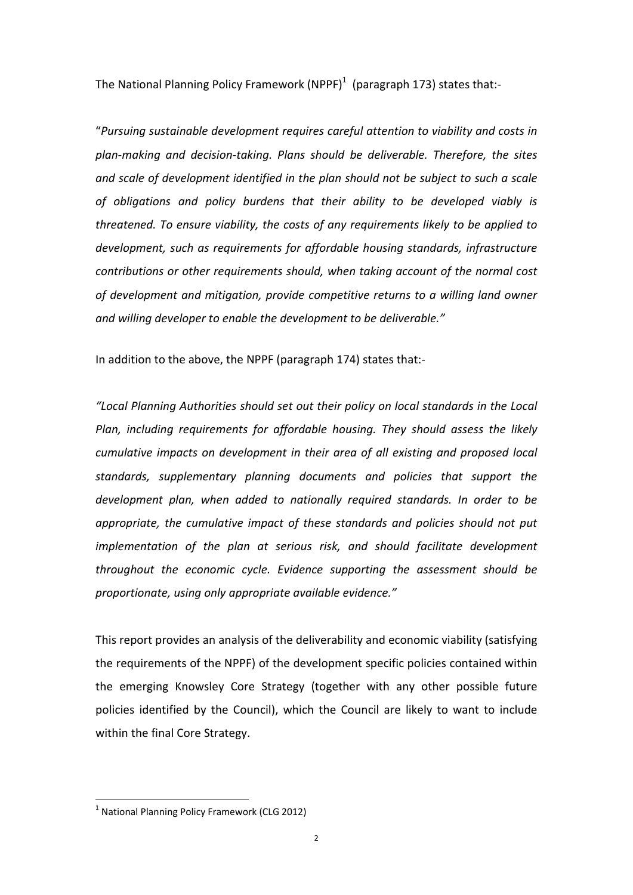The National Planning Policy Framework (NPPF)<sup>1</sup> (paragraph 173) states that:-

"*Pursuing sustainable development requires careful attention to viability and costs in plan-making and decision-taking. Plans should be deliverable. Therefore, the sites and scale of development identified in the plan should not be subject to such a scale of obligations and policy burdens that their ability to be developed viably is threatened. To ensure viability, the costs of any requirements likely to be applied to development, such as requirements for affordable housing standards, infrastructure contributions or other requirements should, when taking account of the normal cost of development and mitigation, provide competitive returns to a willing land owner and willing developer to enable the development to be deliverable."*

In addition to the above, the NPPF (paragraph 174) states that:-

*"Local Planning Authorities should set out their policy on local standards in the Local Plan, including requirements for affordable housing. They should assess the likely cumulative impacts on development in their area of all existing and proposed local standards, supplementary planning documents and policies that support the development plan, when added to nationally required standards. In order to be appropriate, the cumulative impact of these standards and policies should not put implementation of the plan at serious risk, and should facilitate development throughout the economic cycle. Evidence supporting the assessment should be proportionate, using only appropriate available evidence."*

This report provides an analysis of the deliverability and economic viability (satisfying the requirements of the NPPF) of the development specific policies contained within the emerging Knowsley Core Strategy (together with any other possible future policies identified by the Council), which the Council are likely to want to include within the final Core Strategy.

 $\overline{\phantom{a}}$ 

 $<sup>1</sup>$  National Planning Policy Framework (CLG 2012)</sup>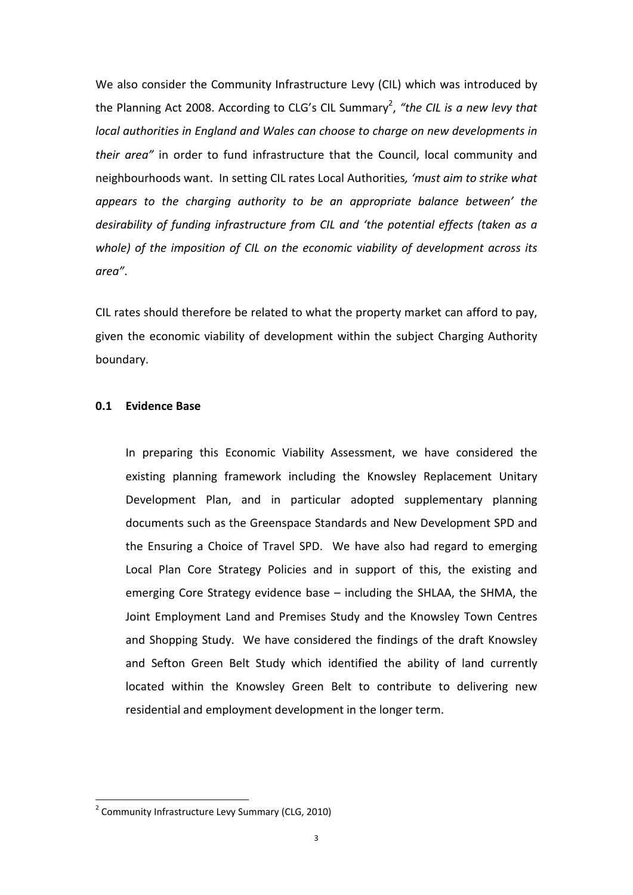We also consider the Community Infrastructure Levy (CIL) which was introduced by the Planning Act 2008. According to CLG's CIL Summary<sup>2</sup>, "the CIL is a new levy that *local authorities in England and Wales can choose to charge on new developments in their area"* in order to fund infrastructure that the Council, local community and neighbourhoods want. In setting CIL rates Local Authorities*, 'must aim to strike what appears to the charging authority to be an appropriate balance between' the desirability of funding infrastructure from CIL and 'the potential effects (taken as a whole) of the imposition of CIL on the economic viability of development across its area"*.

CIL rates should therefore be related to what the property market can afford to pay, given the economic viability of development within the subject Charging Authority boundary.

# **0.1 Evidence Base**

 In preparing this Economic Viability Assessment, we have considered the existing planning framework including the Knowsley Replacement Unitary Development Plan, and in particular adopted supplementary planning documents such as the Greenspace Standards and New Development SPD and the Ensuring a Choice of Travel SPD. We have also had regard to emerging Local Plan Core Strategy Policies and in support of this, the existing and emerging Core Strategy evidence base – including the SHLAA, the SHMA, the Joint Employment Land and Premises Study and the Knowsley Town Centres and Shopping Study. We have considered the findings of the draft Knowsley and Sefton Green Belt Study which identified the ability of land currently located within the Knowsley Green Belt to contribute to delivering new residential and employment development in the longer term.

 $\overline{\phantom{a}}$ 

<sup>&</sup>lt;sup>2</sup> Community Infrastructure Levy Summary (CLG, 2010)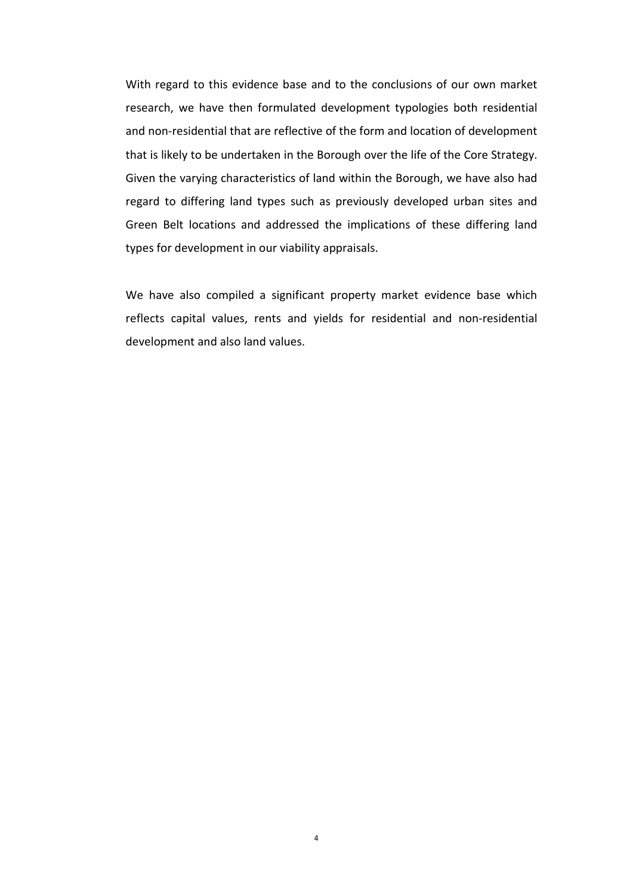With regard to this evidence base and to the conclusions of our own market research, we have then formulated development typologies both residential and non-residential that are reflective of the form and location of development that is likely to be undertaken in the Borough over the life of the Core Strategy. Given the varying characteristics of land within the Borough, we have also had regard to differing land types such as previously developed urban sites and Green Belt locations and addressed the implications of these differing land types for development in our viability appraisals.

We have also compiled a significant property market evidence base which reflects capital values, rents and yields for residential and non-residential development and also land values.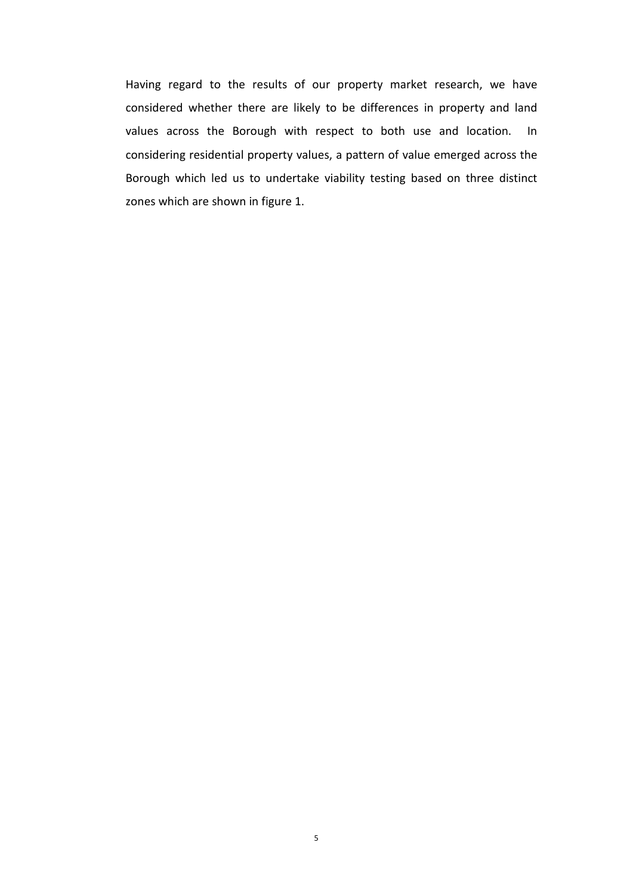Having regard to the results of our property market research, we have considered whether there are likely to be differences in property and land values across the Borough with respect to both use and location. In considering residential property values, a pattern of value emerged across the Borough which led us to undertake viability testing based on three distinct zones which are shown in figure 1.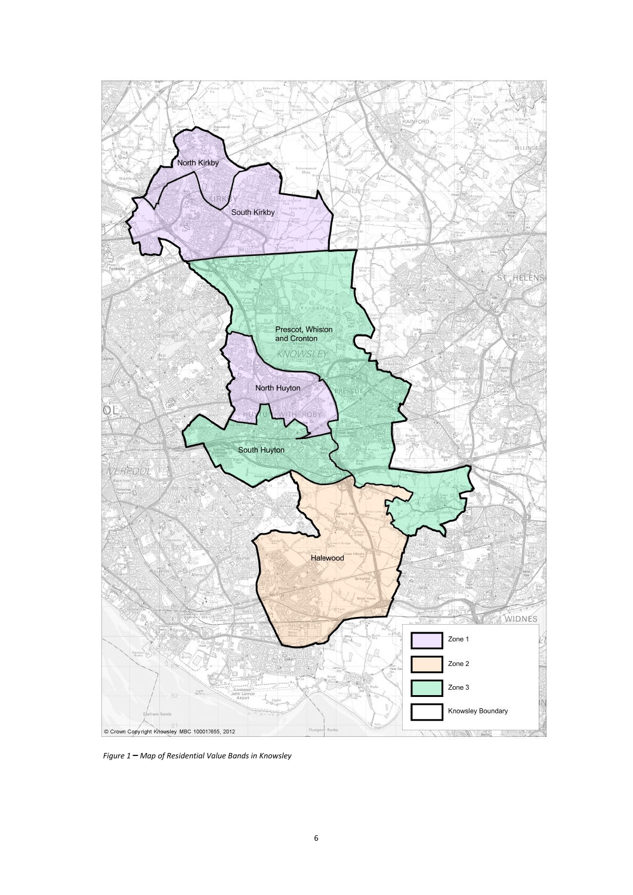

 *Figure 1* **–** *Map of Residential Value Bands in Knowsley*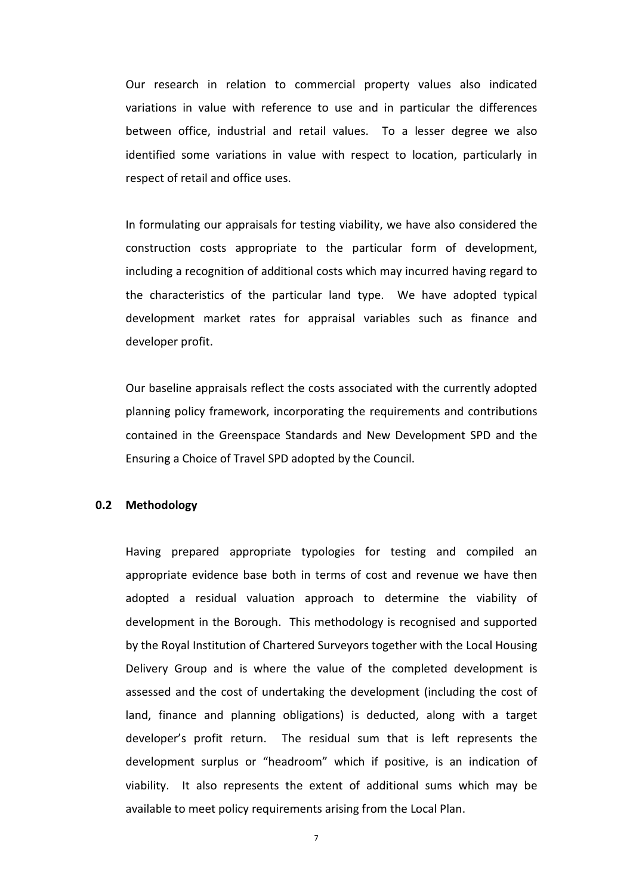Our research in relation to commercial property values also indicated variations in value with reference to use and in particular the differences between office, industrial and retail values. To a lesser degree we also identified some variations in value with respect to location, particularly in respect of retail and office uses.

 In formulating our appraisals for testing viability, we have also considered the construction costs appropriate to the particular form of development, including a recognition of additional costs which may incurred having regard to the characteristics of the particular land type. We have adopted typical development market rates for appraisal variables such as finance and developer profit.

 Our baseline appraisals reflect the costs associated with the currently adopted planning policy framework, incorporating the requirements and contributions contained in the Greenspace Standards and New Development SPD and the Ensuring a Choice of Travel SPD adopted by the Council.

# **0.2 Methodology**

 Having prepared appropriate typologies for testing and compiled an appropriate evidence base both in terms of cost and revenue we have then adopted a residual valuation approach to determine the viability of development in the Borough. This methodology is recognised and supported by the Royal Institution of Chartered Surveyors together with the Local Housing Delivery Group and is where the value of the completed development is assessed and the cost of undertaking the development (including the cost of land, finance and planning obligations) is deducted, along with a target developer's profit return. The residual sum that is left represents the development surplus or "headroom" which if positive, is an indication of viability. It also represents the extent of additional sums which may be available to meet policy requirements arising from the Local Plan.

7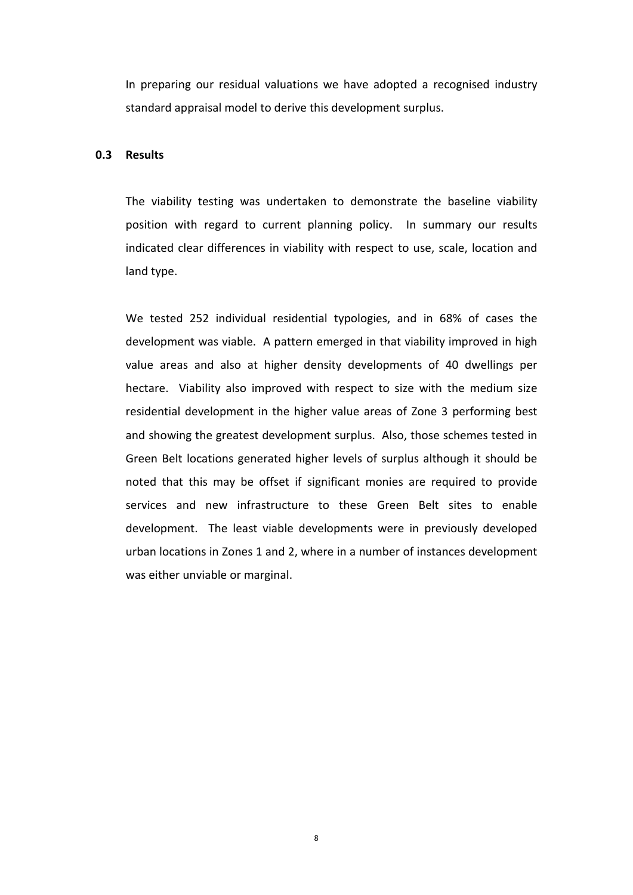In preparing our residual valuations we have adopted a recognised industry standard appraisal model to derive this development surplus.

#### **0.3 Results**

 The viability testing was undertaken to demonstrate the baseline viability position with regard to current planning policy. In summary our results indicated clear differences in viability with respect to use, scale, location and land type.

We tested 252 individual residential typologies, and in 68% of cases the development was viable. A pattern emerged in that viability improved in high value areas and also at higher density developments of 40 dwellings per hectare. Viability also improved with respect to size with the medium size residential development in the higher value areas of Zone 3 performing best and showing the greatest development surplus. Also, those schemes tested in Green Belt locations generated higher levels of surplus although it should be noted that this may be offset if significant monies are required to provide services and new infrastructure to these Green Belt sites to enable development. The least viable developments were in previously developed urban locations in Zones 1 and 2, where in a number of instances development was either unviable or marginal.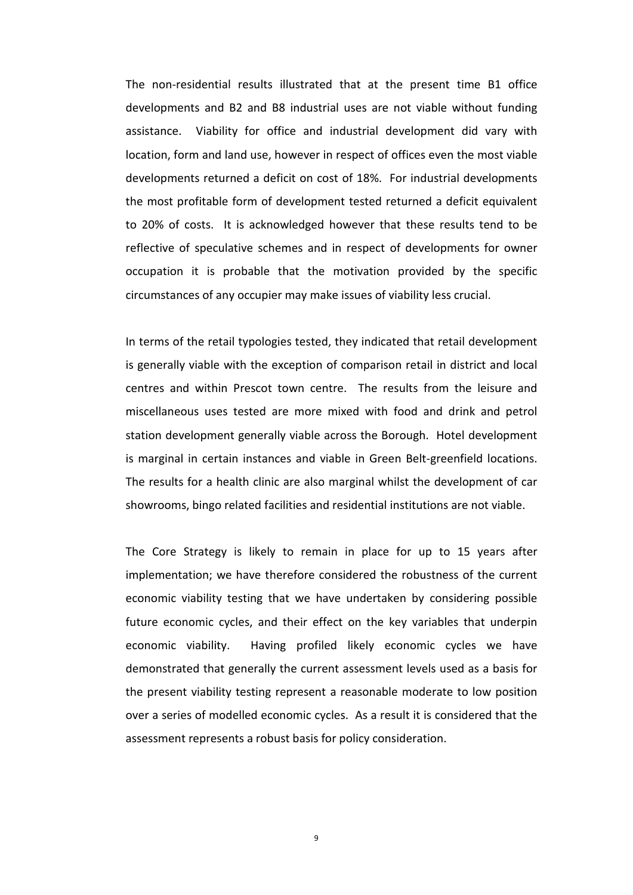The non-residential results illustrated that at the present time B1 office developments and B2 and B8 industrial uses are not viable without funding assistance. Viability for office and industrial development did vary with location, form and land use, however in respect of offices even the most viable developments returned a deficit on cost of 18%. For industrial developments the most profitable form of development tested returned a deficit equivalent to 20% of costs. It is acknowledged however that these results tend to be reflective of speculative schemes and in respect of developments for owner occupation it is probable that the motivation provided by the specific circumstances of any occupier may make issues of viability less crucial.

In terms of the retail typologies tested, they indicated that retail development is generally viable with the exception of comparison retail in district and local centres and within Prescot town centre. The results from the leisure and miscellaneous uses tested are more mixed with food and drink and petrol station development generally viable across the Borough. Hotel development is marginal in certain instances and viable in Green Belt-greenfield locations. The results for a health clinic are also marginal whilst the development of car showrooms, bingo related facilities and residential institutions are not viable.

 The Core Strategy is likely to remain in place for up to 15 years after implementation; we have therefore considered the robustness of the current economic viability testing that we have undertaken by considering possible future economic cycles, and their effect on the key variables that underpin economic viability. Having profiled likely economic cycles we have demonstrated that generally the current assessment levels used as a basis for the present viability testing represent a reasonable moderate to low position over a series of modelled economic cycles. As a result it is considered that the assessment represents a robust basis for policy consideration.

9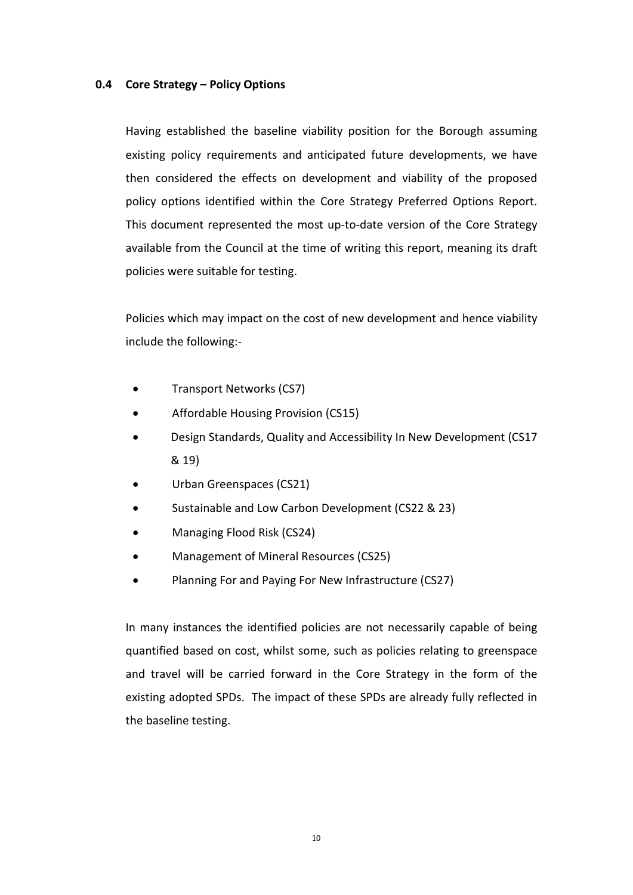# **0.4 Core Strategy – Policy Options**

 Having established the baseline viability position for the Borough assuming existing policy requirements and anticipated future developments, we have then considered the effects on development and viability of the proposed policy options identified within the Core Strategy Preferred Options Report. This document represented the most up-to-date version of the Core Strategy available from the Council at the time of writing this report, meaning its draft policies were suitable for testing.

 Policies which may impact on the cost of new development and hence viability include the following:-

- Transport Networks (CS7)
- Affordable Housing Provision (CS15)
- Design Standards, Quality and Accessibility In New Development (CS17 & 19)
- Urban Greenspaces (CS21)
- Sustainable and Low Carbon Development (CS22 & 23)
- Managing Flood Risk (CS24)
- Management of Mineral Resources (CS25)
- Planning For and Paying For New Infrastructure (CS27)

In many instances the identified policies are not necessarily capable of being quantified based on cost, whilst some, such as policies relating to greenspace and travel will be carried forward in the Core Strategy in the form of the existing adopted SPDs. The impact of these SPDs are already fully reflected in the baseline testing.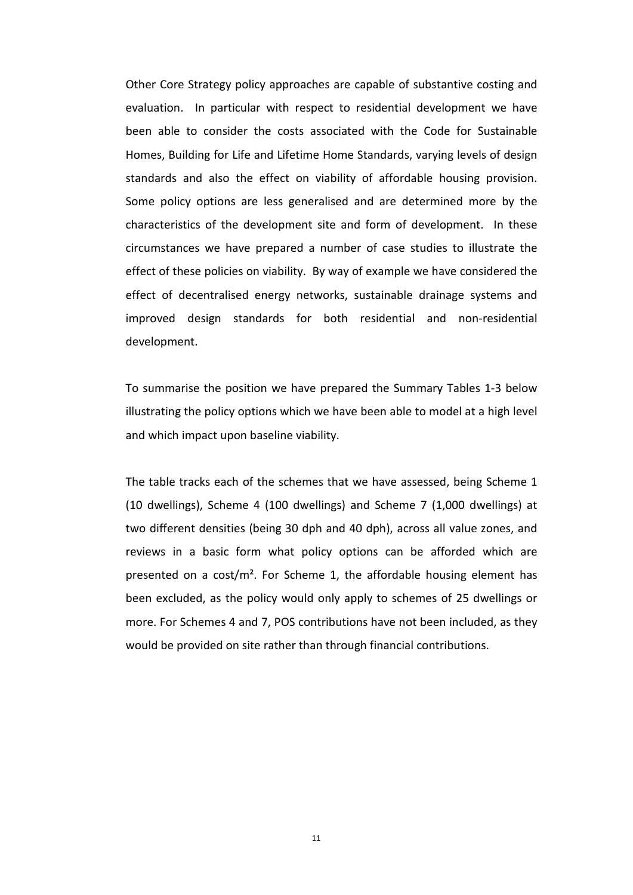Other Core Strategy policy approaches are capable of substantive costing and evaluation. In particular with respect to residential development we have been able to consider the costs associated with the Code for Sustainable Homes, Building for Life and Lifetime Home Standards, varying levels of design standards and also the effect on viability of affordable housing provision. Some policy options are less generalised and are determined more by the characteristics of the development site and form of development. In these circumstances we have prepared a number of case studies to illustrate the effect of these policies on viability. By way of example we have considered the effect of decentralised energy networks, sustainable drainage systems and improved design standards for both residential and non-residential development.

 To summarise the position we have prepared the Summary Tables 1-3 below illustrating the policy options which we have been able to model at a high level and which impact upon baseline viability.

 The table tracks each of the schemes that we have assessed, being Scheme 1 (10 dwellings), Scheme 4 (100 dwellings) and Scheme 7 (1,000 dwellings) at two different densities (being 30 dph and 40 dph), across all value zones, and reviews in a basic form what policy options can be afforded which are presented on a cost/ $m^2$ . For Scheme 1, the affordable housing element has been excluded, as the policy would only apply to schemes of 25 dwellings or more. For Schemes 4 and 7, POS contributions have not been included, as they would be provided on site rather than through financial contributions.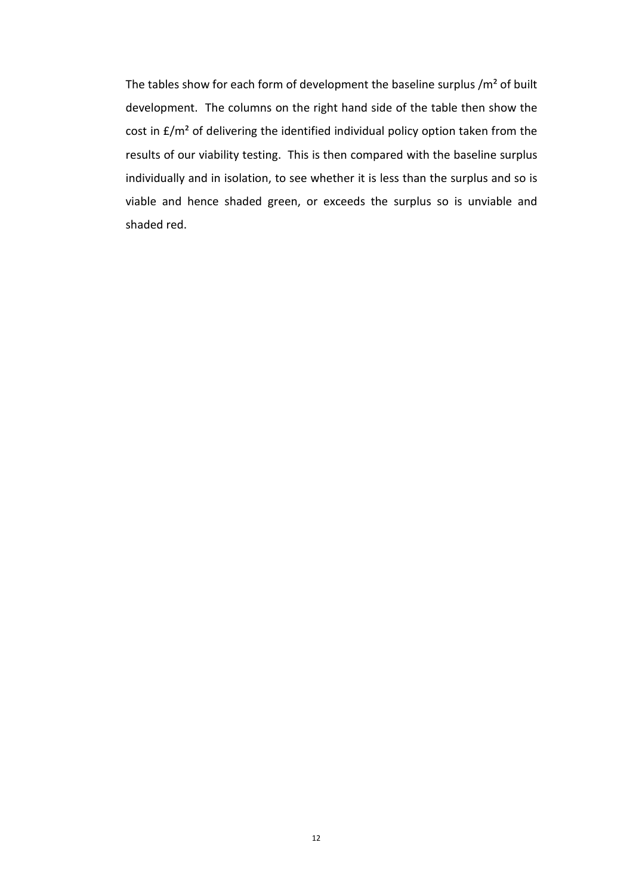The tables show for each form of development the baseline surplus  $/m<sup>2</sup>$  of built development. The columns on the right hand side of the table then show the cost in £/m² of delivering the identified individual policy option taken from the results of our viability testing. This is then compared with the baseline surplus individually and in isolation, to see whether it is less than the surplus and so is viable and hence shaded green, or exceeds the surplus so is unviable and shaded red.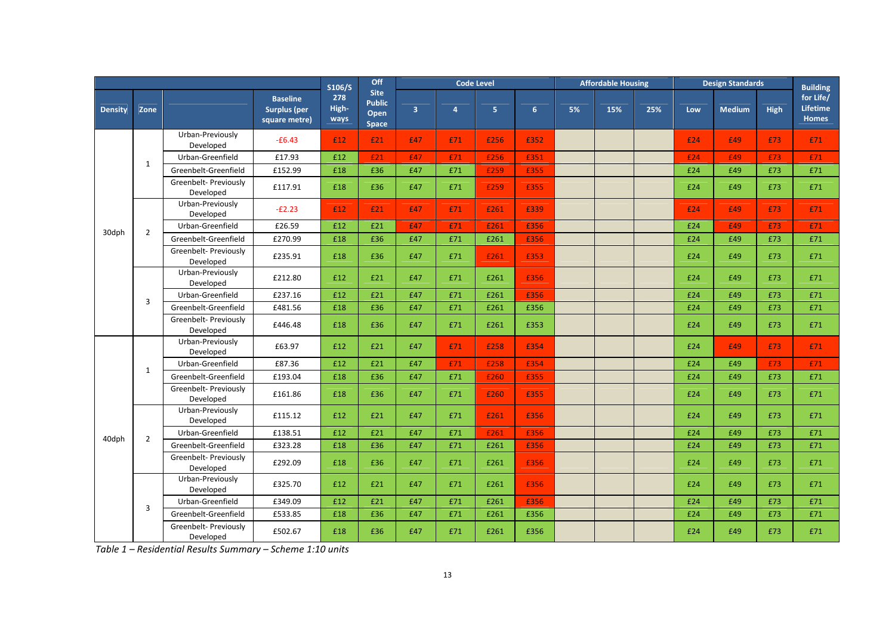|                |                | Off<br>S106/S                      |                                                         | <b>Code Level</b>    |                                               |                         |                | <b>Affordable Housing</b> |      |    | <b>Design Standards</b> |     |     | <b>Building</b> |      |                                |
|----------------|----------------|------------------------------------|---------------------------------------------------------|----------------------|-----------------------------------------------|-------------------------|----------------|---------------------------|------|----|-------------------------|-----|-----|-----------------|------|--------------------------------|
| <b>Density</b> | Zone           |                                    | <b>Baseline</b><br><b>Surplus (per</b><br>square metre) | 278<br>High-<br>ways | <b>Site</b><br><b>Public</b><br>Open<br>Space | $\overline{\mathbf{3}}$ | $\overline{a}$ | 5 <sub>1</sub>            | 6    | 5% | 15%                     | 25% | Low | <b>Medium</b>   | High | for Life/<br>Lifetime<br>Homes |
|                |                | Urban-Previously<br>Developed      | $-£6.43$                                                | £12                  | £21                                           | £47                     | £71            | £256                      | £352 |    |                         |     | £24 | £49             | £73  | £71                            |
|                | $\mathbf{1}$   | Urban-Greenfield                   | £17.93                                                  | £12                  | £21                                           | £47                     | £71            | £256                      | £351 |    |                         |     | £24 | £49             | £73  | £71                            |
|                |                | Greenbelt-Greenfield               | £152.99                                                 | £18                  | £36                                           | £47                     | £71            | £259                      | £355 |    |                         |     | £24 | £49             | £73  | £71                            |
|                |                | Greenbelt- Previously<br>Developed | £117.91                                                 | £18                  | £36                                           | £47                     | £71            | £259                      | £355 |    |                         |     | £24 | £49             | £73  | £71                            |
|                |                | Urban-Previously<br>Developed      | $-E2.23$                                                | £12                  | E21                                           | £47                     | £71            | £261                      | £339 |    |                         |     | £24 | £49             | £73  | £71                            |
| 30dph          | $\overline{2}$ | Urban-Greenfield                   | £26.59                                                  | £12                  | £21                                           | £47                     | £71            | £261                      | £356 |    |                         |     | £24 | £49             | £73  | £71                            |
|                |                | Greenbelt-Greenfield               | £270.99                                                 | £18                  | £36                                           | £47                     | £71            | £261                      | £356 |    |                         |     | £24 | £49             | £73  | £71                            |
|                |                | Greenbelt- Previously<br>Developed | £235.91                                                 | £18                  | £36                                           | £47                     | £71            | £261                      | £353 |    |                         |     | £24 | £49             | £73  | £71                            |
|                |                | Urban-Previously<br>Developed      | £212.80                                                 | £12                  | £21                                           | £47                     | £71            | £261                      | £356 |    |                         |     | £24 | £49             | £73  | £71                            |
|                | $\overline{3}$ | Urban-Greenfield                   | £237.16                                                 | £12                  | £21                                           | £47                     | £71            | £261                      | £356 |    |                         |     | £24 | £49             | £73  | £71                            |
|                |                | Greenbelt-Greenfield               | £481.56                                                 | £18                  | £36                                           | £47                     | £71            | £261                      | £356 |    |                         |     | £24 | £49             | £73  | £71                            |
|                |                | Greenbelt- Previously<br>Developed | £446.48                                                 | £18                  | £36                                           | £47                     | £71            | £261                      | £353 |    |                         |     | £24 | £49             | £73  | £71                            |
|                |                | Urban-Previously<br>Developed      | £63.97                                                  | £12                  | £21                                           | £47                     | £71            | £258                      | £354 |    |                         |     | £24 | £49             | £73  | £71                            |
|                | $\mathbf{1}$   | Urban-Greenfield                   | £87.36                                                  | £12                  | £21                                           | £47                     | £71            | £258                      | £354 |    |                         |     | £24 | £49             | £73  | £71                            |
|                |                | Greenbelt-Greenfield               | £193.04                                                 | £18                  | £36                                           | £47                     | £71            | £260                      | £355 |    |                         |     | £24 | £49             | £73  | £71                            |
|                |                | Greenbelt- Previously<br>Developed | £161.86                                                 | £18                  | £36                                           | £47                     | £71            | £260                      | £355 |    |                         |     | £24 | £49             | £73  | £71                            |
|                |                | Urban-Previously<br>Developed      | £115.12                                                 | £12                  | £21                                           | £47                     | £71            | £261                      | £356 |    |                         |     | £24 | £49             | £73  | £71                            |
| 40dph          | $\overline{2}$ | Urban-Greenfield                   | £138.51                                                 | £12                  | £21                                           | £47                     | £71            | £261                      | £356 |    |                         |     | £24 | £49             | £73  | £71                            |
|                |                | Greenbelt-Greenfield               | £323.28                                                 | £18                  | £36                                           | £47                     | £71            | £261                      | £356 |    |                         |     | £24 | £49             | £73  | £71                            |
|                |                | Greenbelt- Previously<br>Developed | £292.09                                                 | £18                  | £36                                           | £47                     | £71            | £261                      | £356 |    |                         |     | £24 | £49             | £73  | £71                            |
|                |                | Urban-Previously<br>Developed      | £325.70                                                 | £12                  | £21                                           | £47                     | £71            | £261                      | £356 |    |                         |     | £24 | £49             | £73  | £71                            |
|                | 3              | Urban-Greenfield                   | £349.09                                                 | £12                  | £21                                           | £47                     | £71            | £261                      | £356 |    |                         |     | £24 | £49             | £73  | £71                            |
|                |                | Greenbelt-Greenfield               | £533.85                                                 | £18                  | £36                                           | £47                     | £71            | £261                      | £356 |    |                         |     | £24 | £49             | £73  | £71                            |
|                |                | Greenbelt- Previously<br>Developed | £502.67                                                 | £18                  | £36                                           | £47                     | £71            | £261                      | £356 |    |                         |     | £24 | £49             | £73  | £71                            |

*Table 1 – Residential Results Summary – Scheme 1:10 units*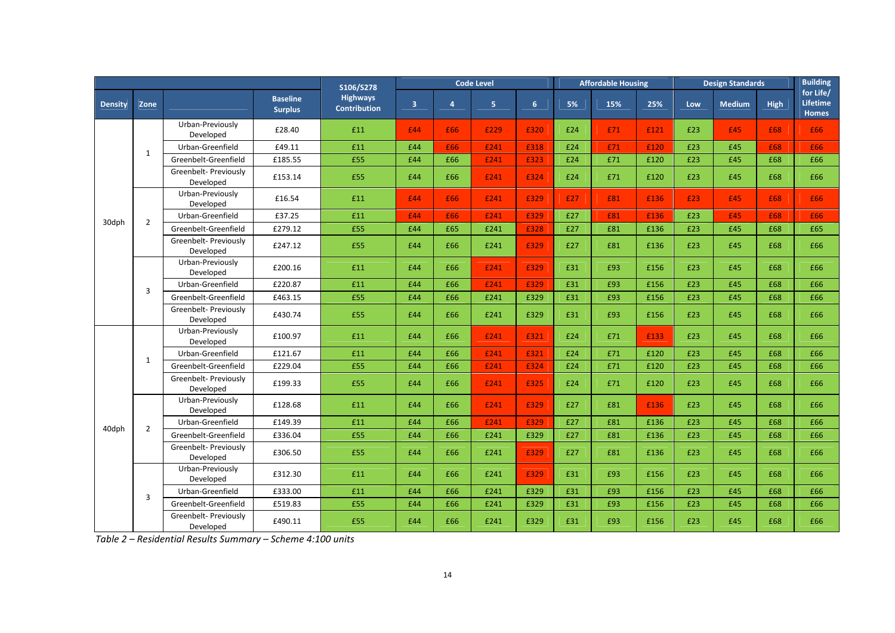|                |                | S106/S278                          | <b>Code Level</b>                 |                                        |                         |                | <b>Affordable Housing</b> |                |     | <b>Design Standards</b> |      |            | <b>Building</b> |             |                                       |
|----------------|----------------|------------------------------------|-----------------------------------|----------------------------------------|-------------------------|----------------|---------------------------|----------------|-----|-------------------------|------|------------|-----------------|-------------|---------------------------------------|
| <b>Density</b> | Zone           |                                    | <b>Baseline</b><br><b>Surplus</b> | <b>Highways</b><br><b>Contribution</b> | $\overline{\mathbf{3}}$ | $\overline{4}$ | $\overline{\mathbf{5}}$   | 6 <sup>1</sup> | 5%  | 15%                     | 25%  | <b>Low</b> | <b>Medium</b>   | <b>High</b> | for Life/<br>Lifetime<br><b>Homes</b> |
|                |                | Urban-Previously<br>Developed      | £28.40                            | £11                                    | £44                     | £66            | £229                      | £320           | £24 | £71                     | £121 | £23        | £45             | £68         | £66                                   |
|                | $\mathbf{1}$   | Urban-Greenfield                   | £49.11                            | £11                                    | £44                     | £66            | £241                      | £318           | £24 | £71                     | £120 | £23        | £45             | £68         | £66                                   |
|                |                | Greenbelt-Greenfield               | £185.55                           | £55                                    | £44                     | £66            | £241                      | £323           | £24 | £71                     | £120 | £23        | £45             | £68         | £66                                   |
|                |                | Greenbelt- Previously<br>Developed | £153.14                           | £55                                    | £44                     | £66            | £241                      | £324           | £24 | £71                     | £120 | £23        | £45             | £68         | £66                                   |
|                |                | Urban-Previously<br>Developed      | £16.54                            | £11                                    | £44                     | £66            | £241                      | £329           | £27 | £81                     | £136 | £23        | £45             | £68         | £66                                   |
| 30dph          | $\overline{2}$ | Urban-Greenfield                   | £37.25                            | £11                                    | £44                     | £66            | £241                      | £329           | £27 | £81                     | £136 | £23        | £45             | £68         | £66                                   |
|                |                | Greenbelt-Greenfield               | £279.12                           | £55                                    | £44                     | £65            | £241                      | £328           | £27 | £81                     | £136 | £23        | £45             | £68         | £65                                   |
|                |                | Greenbelt- Previously<br>Developed | £247.12                           | £55                                    | £44                     | £66            | £241                      | £329           | £27 | £81                     | £136 | £23        | £45             | £68         | £66                                   |
|                |                | Urban-Previously<br>Developed      | £200.16                           | £11                                    | £44                     | £66            | £241                      | £329           | £31 | £93                     | £156 | £23        | £45             | £68         | £66                                   |
|                | 3              | Urban-Greenfield                   | £220.87                           | £11                                    | £44                     | £66            | £241                      | £329           | £31 | £93                     | £156 | £23        | £45             | £68         | £66                                   |
|                |                | Greenbelt-Greenfield               | £463.15                           | £55                                    | £44                     | £66            | £241                      | £329           | £31 | £93                     | £156 | £23        | £45             | £68         | £66                                   |
|                |                | Greenbelt- Previously<br>Developed | £430.74                           | £55                                    | £44                     | £66            | £241                      | £329           | £31 | £93                     | £156 | £23        | £45             | £68         | £66                                   |
|                | 1              | Urban-Previously<br>Developed      | £100.97                           | £11                                    | £44                     | £66            | £241                      | £321           | £24 | £71                     | £133 | £23        | £45             | £68         | £66                                   |
|                |                | Urban-Greenfield                   | £121.67                           | £11                                    | £44                     | £66            | £241                      | £321           | £24 | £71                     | £120 | £23        | £45             | £68         | £66                                   |
|                |                | Greenbelt-Greenfield               | £229.04                           | £55                                    | £44                     | £66            | £241                      | £324           | £24 | £71                     | £120 | £23        | £45             | £68         | £66                                   |
|                |                | Greenbelt- Previously<br>Developed | £199.33                           | £55                                    | £44                     | £66            | £241                      | £325           | £24 | £71                     | £120 | £23        | £45             | £68         | £66                                   |
|                |                | Urban-Previously<br>Developed      | £128.68                           | £11                                    | £44                     | £66            | £241                      | £329           | £27 | £81                     | £136 | £23        | £45             | £68         | £66                                   |
| 40dph          | $\overline{2}$ | Urban-Greenfield                   | £149.39                           | £11                                    | £44                     | £66            | £241                      | £329           | £27 | £81                     | £136 | £23        | £45             | £68         | £66                                   |
|                |                | Greenbelt-Greenfield               | £336.04                           | £55                                    | £44                     | £66            | £241                      | £329           | £27 | £81                     | £136 | £23        | £45             | £68         | £66                                   |
|                |                | Greenbelt- Previously<br>Developed | £306.50                           | £55                                    | £44                     | £66            | £241                      | £329           | £27 | £81                     | £136 | £23        | £45             | £68         | £66                                   |
|                |                | Urban-Previously<br>Developed      | £312.30                           | £11                                    | £44                     | £66            | £241                      | £329           | £31 | £93                     | £156 | £23        | £45             | £68         | £66                                   |
|                | 3              | Urban-Greenfield                   | £333.00                           | £11                                    | £44                     | £66            | £241                      | £329           | £31 | £93                     | £156 | £23        | £45             | £68         | £66                                   |
|                |                | Greenbelt-Greenfield               | £519.83                           | £55                                    | £44                     | £66            | £241                      | £329           | £31 | £93                     | £156 | £23        | £45             | £68         | £66                                   |
|                |                | Greenbelt- Previously<br>Developed | £490.11                           | £55                                    | £44                     | £66            | £241                      | £329           | £31 | £93                     | £156 | £23        | £45             | £68         | £66                                   |

*Table 2 – Residential Results Summary – Scheme 4:100 units*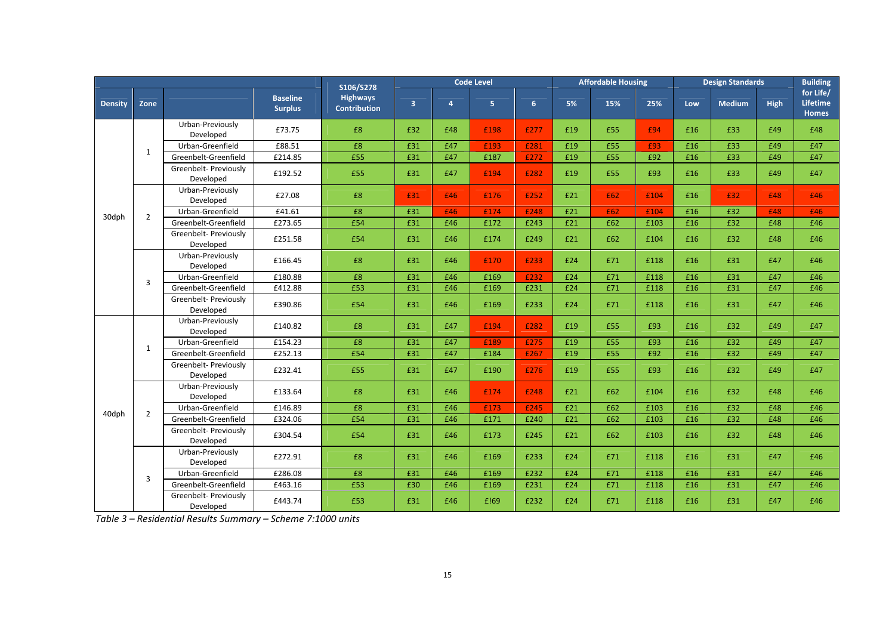|                |                | S106/S278                          | <b>Code Level</b>                 |                                        |                         |                | <b>Affordable Housing</b> |                |     | <b>Design Standards</b> |      |     | <b>Building</b> |      |                                       |
|----------------|----------------|------------------------------------|-----------------------------------|----------------------------------------|-------------------------|----------------|---------------------------|----------------|-----|-------------------------|------|-----|-----------------|------|---------------------------------------|
| <b>Density</b> | Zone           |                                    | <b>Baseline</b><br><b>Surplus</b> | <b>Highways</b><br><b>Contribution</b> | $\overline{\mathbf{3}}$ | $\overline{4}$ | 5 <sub>1</sub>            | 6 <sup>1</sup> | 5%  | 15%                     | 25%  | Low | <b>Medium</b>   | High | for Life/<br><b>Lifetime</b><br>Homes |
|                |                | Urban-Previously<br>Developed      | £73.75                            | £8                                     | £32                     | £48            | £198                      | £277           | £19 | £55                     | £94  | £16 | £33             | £49  | £48                                   |
|                | 1              | Urban-Greenfield                   | £88.51                            | £8                                     | £31                     | £47            | £193                      | £281           | £19 | £55                     | £93  | £16 | £33             | £49  | £47                                   |
|                |                | Greenbelt-Greenfield               | £214.85                           | £55                                    | £31                     | £47            | £187                      | £272           | £19 | £55                     | £92  | £16 | £33             | £49  | £47                                   |
|                |                | Greenbelt- Previously<br>Developed | £192.52                           | £55                                    | £31                     | £47            | £194                      | £282           | £19 | £55                     | £93  | £16 | £33             | £49  | £47                                   |
|                |                | Urban-Previously<br>Developed      | £27.08                            | £8                                     | £31                     | £46            | £176                      | £252           | £21 | £62                     | £104 | £16 | £32             | £48  | £46                                   |
|                | $\overline{2}$ | Urban-Greenfield                   | £41.61                            | £8                                     | £31                     | £46            | £174                      | £248           | £21 | £62                     | £104 | £16 | £32             | £48  | £46                                   |
| 30dph          |                | Greenbelt-Greenfield               | £273.65                           | £54                                    | £31                     | £46            | £172                      | £243           | £21 | £62                     | £103 | £16 | £32             | £48  | £46                                   |
|                |                | Greenbelt- Previously<br>Developed | £251.58                           | £54                                    | £31                     | £46            | £174                      | £249           | £21 | £62                     | £104 | £16 | £32             | £48  | £46                                   |
|                |                | Urban-Previously<br>Developed      | £166.45                           | £8                                     | £31                     | £46            | £170                      | £233           | £24 | £71                     | £118 | £16 | £31             | £47  | £46                                   |
|                | 3              | Urban-Greenfield                   | £180.88                           | £8                                     | £31                     | £46            | £169                      | £232           | £24 | £71                     | £118 | £16 | £31             | £47  | £46                                   |
|                |                | Greenbelt-Greenfield               | £412.88                           | £53                                    | £31                     | £46            | £169                      | £231           | £24 | £71                     | £118 | £16 | £31             | £47  | £46                                   |
|                |                | Greenbelt- Previously<br>Developed | £390.86                           | £54                                    | £31                     | £46            | £169                      | £233           | £24 | £71                     | £118 | £16 | £31             | £47  | £46                                   |
|                | $\mathbf{1}$   | Urban-Previously<br>Developed      | £140.82                           | £8                                     | £31                     | £47            | £194                      | £282           | £19 | £55                     | £93  | £16 | £32             | £49  | £47                                   |
|                |                | Urban-Greenfield                   | £154.23                           | £8                                     | £31                     | £47            | £189                      | £275           | £19 | £55                     | £93  | £16 | £32             | £49  | £47                                   |
|                |                | Greenbelt-Greenfield               | £252.13                           | £54                                    | £31                     | £47            | £184                      | £267           | £19 | £55                     | £92  | £16 | £32             | £49  | £47                                   |
|                |                | Greenbelt- Previously<br>Developed | £232.41                           | £55                                    | £31                     | £47            | £190                      | £276           | £19 | £55                     | £93  | £16 | £32             | £49  | £47                                   |
|                |                | Urban-Previously<br>Developed      | £133.64                           | £8                                     | £31                     | £46            | £174                      | £248           | £21 | £62                     | £104 | £16 | £32             | £48  | £46                                   |
| 40dph          | $\overline{2}$ | Urban-Greenfield                   | £146.89                           | £8                                     | £31                     | £46            | £173                      | £245           | £21 | £62                     | £103 | £16 | £32             | £48  | £46                                   |
|                |                | Greenbelt-Greenfield               | £324.06                           | £54                                    | £31                     | £46            | £171                      | £240           | £21 | £62                     | £103 | £16 | £32             | £48  | £46                                   |
|                |                | Greenbelt- Previously<br>Developed | £304.54                           | £54                                    | £31                     | £46            | £173                      | £245           | £21 | £62                     | £103 | £16 | £32             | £48  | £46                                   |
|                |                | Urban-Previously<br>Developed      | £272.91                           | £8                                     | £31                     | £46            | £169                      | £233           | £24 | £71                     | £118 | £16 | £31             | £47  | £46                                   |
|                | 3              | Urban-Greenfield                   | £286.08                           | $\pmb{\mathsf{E8}}$                    | £31                     | £46            | £169                      | £232           | £24 | £71                     | £118 | £16 | £31             | £47  | £46                                   |
|                |                | Greenbelt-Greenfield               | £463.16                           | £53                                    | £30                     | £46            | £169                      | £231           | £24 | £71                     | £118 | £16 | £31             | £47  | £46                                   |
|                |                | Greenbelt- Previously<br>Developed | £443.74                           | £53                                    | £31                     | £46            | £!69                      | £232           | £24 | £71                     | £118 | £16 | £31             | £47  | £46                                   |

*Table 3 – Residential Results Summary – Scheme 7:1000 units*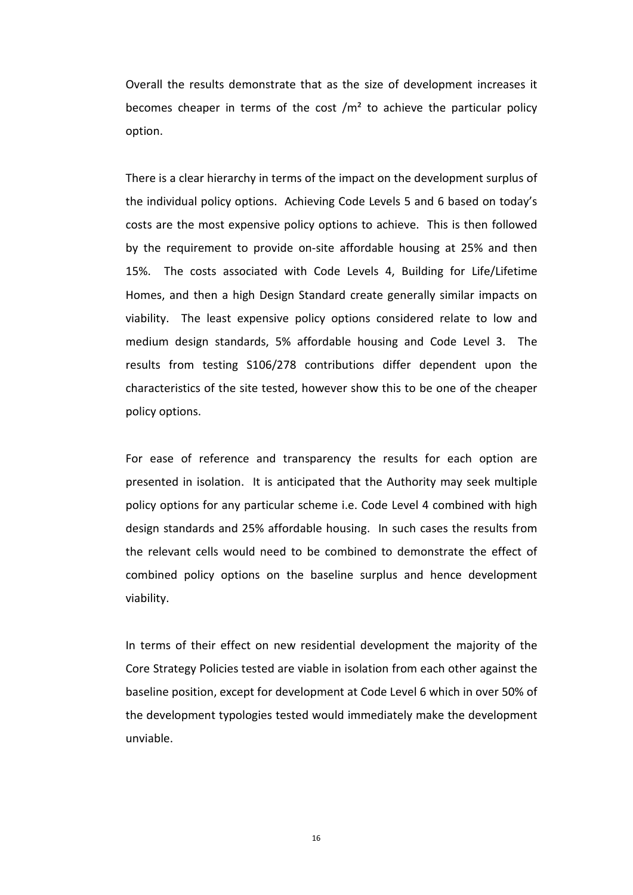Overall the results demonstrate that as the size of development increases it becomes cheaper in terms of the cost  $/m<sup>2</sup>$  to achieve the particular policy option.

 There is a clear hierarchy in terms of the impact on the development surplus of the individual policy options. Achieving Code Levels 5 and 6 based on today's costs are the most expensive policy options to achieve. This is then followed by the requirement to provide on-site affordable housing at 25% and then 15%. The costs associated with Code Levels 4, Building for Life/Lifetime Homes, and then a high Design Standard create generally similar impacts on viability. The least expensive policy options considered relate to low and medium design standards, 5% affordable housing and Code Level 3. The results from testing S106/278 contributions differ dependent upon the characteristics of the site tested, however show this to be one of the cheaper policy options.

For ease of reference and transparency the results for each option are presented in isolation. It is anticipated that the Authority may seek multiple policy options for any particular scheme i.e. Code Level 4 combined with high design standards and 25% affordable housing. In such cases the results from the relevant cells would need to be combined to demonstrate the effect of combined policy options on the baseline surplus and hence development viability.

 In terms of their effect on new residential development the majority of the Core Strategy Policies tested are viable in isolation from each other against the baseline position, except for development at Code Level 6 which in over 50% of the development typologies tested would immediately make the development unviable.

16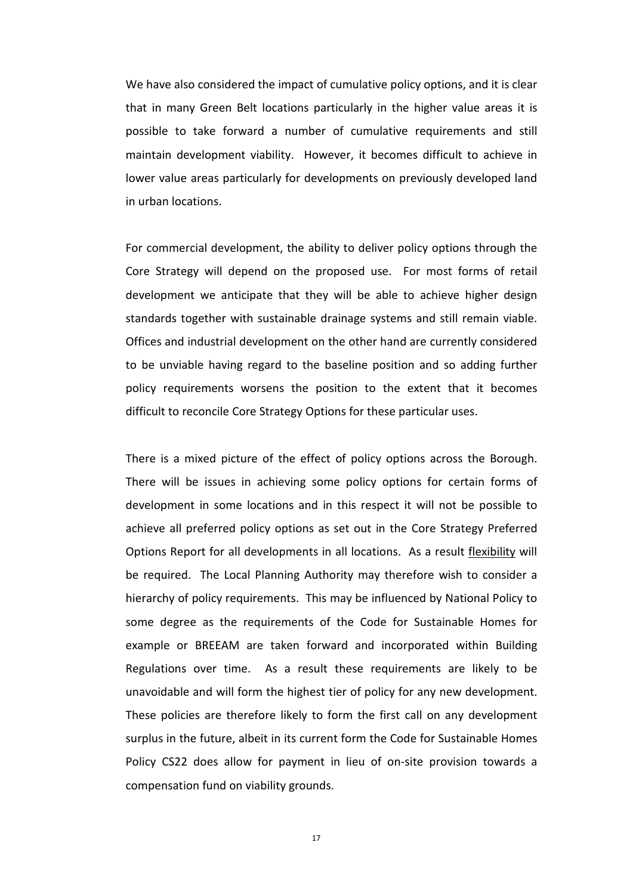We have also considered the impact of cumulative policy options, and it is clear that in many Green Belt locations particularly in the higher value areas it is possible to take forward a number of cumulative requirements and still maintain development viability. However, it becomes difficult to achieve in lower value areas particularly for developments on previously developed land in urban locations.

 For commercial development, the ability to deliver policy options through the Core Strategy will depend on the proposed use. For most forms of retail development we anticipate that they will be able to achieve higher design standards together with sustainable drainage systems and still remain viable. Offices and industrial development on the other hand are currently considered to be unviable having regard to the baseline position and so adding further policy requirements worsens the position to the extent that it becomes difficult to reconcile Core Strategy Options for these particular uses.

There is a mixed picture of the effect of policy options across the Borough. There will be issues in achieving some policy options for certain forms of development in some locations and in this respect it will not be possible to achieve all preferred policy options as set out in the Core Strategy Preferred Options Report for all developments in all locations. As a result flexibility will be required. The Local Planning Authority may therefore wish to consider a hierarchy of policy requirements. This may be influenced by National Policy to some degree as the requirements of the Code for Sustainable Homes for example or BREEAM are taken forward and incorporated within Building Regulations over time. As a result these requirements are likely to be unavoidable and will form the highest tier of policy for any new development. These policies are therefore likely to form the first call on any development surplus in the future, albeit in its current form the Code for Sustainable Homes Policy CS22 does allow for payment in lieu of on-site provision towards a compensation fund on viability grounds.

17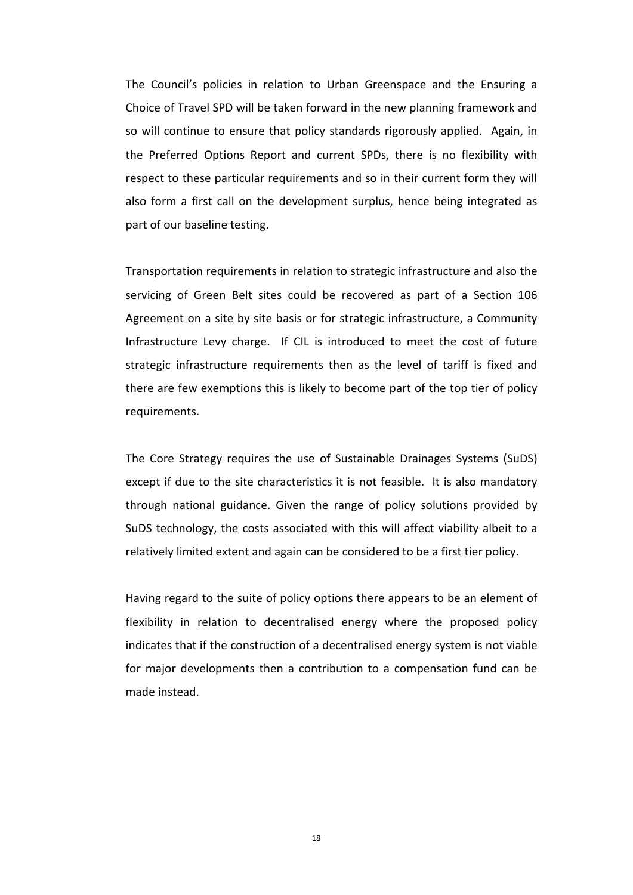The Council's policies in relation to Urban Greenspace and the Ensuring a Choice of Travel SPD will be taken forward in the new planning framework and so will continue to ensure that policy standards rigorously applied. Again, in the Preferred Options Report and current SPDs, there is no flexibility with respect to these particular requirements and so in their current form they will also form a first call on the development surplus, hence being integrated as part of our baseline testing.

 Transportation requirements in relation to strategic infrastructure and also the servicing of Green Belt sites could be recovered as part of a Section 106 Agreement on a site by site basis or for strategic infrastructure, a Community Infrastructure Levy charge. If CIL is introduced to meet the cost of future strategic infrastructure requirements then as the level of tariff is fixed and there are few exemptions this is likely to become part of the top tier of policy requirements.

 The Core Strategy requires the use of Sustainable Drainages Systems (SuDS) except if due to the site characteristics it is not feasible. It is also mandatory through national guidance. Given the range of policy solutions provided by SuDS technology, the costs associated with this will affect viability albeit to a relatively limited extent and again can be considered to be a first tier policy.

 Having regard to the suite of policy options there appears to be an element of flexibility in relation to decentralised energy where the proposed policy indicates that if the construction of a decentralised energy system is not viable for major developments then a contribution to a compensation fund can be made instead.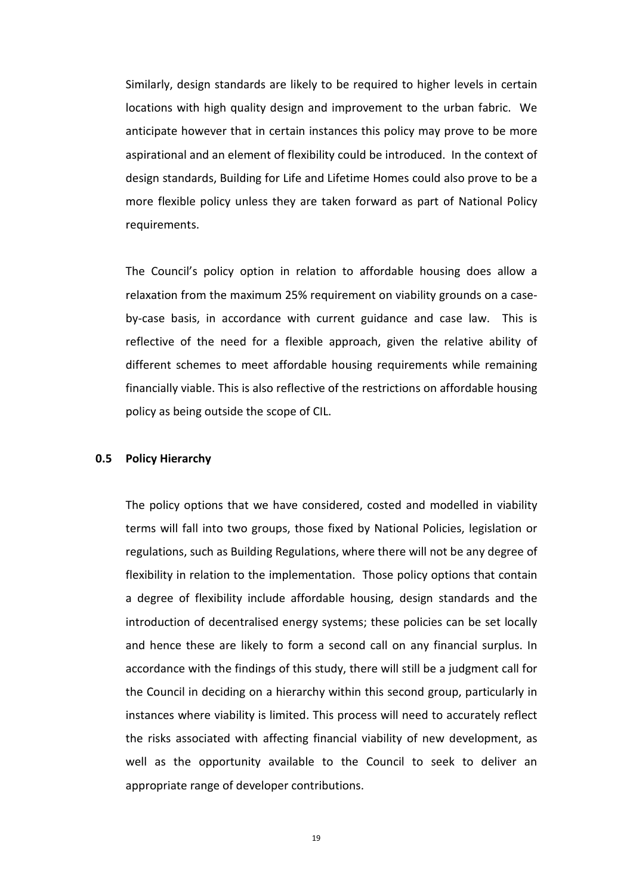Similarly, design standards are likely to be required to higher levels in certain locations with high quality design and improvement to the urban fabric. We anticipate however that in certain instances this policy may prove to be more aspirational and an element of flexibility could be introduced. In the context of design standards, Building for Life and Lifetime Homes could also prove to be a more flexible policy unless they are taken forward as part of National Policy requirements.

 The Council's policy option in relation to affordable housing does allow a relaxation from the maximum 25% requirement on viability grounds on a caseby-case basis, in accordance with current guidance and case law. This is reflective of the need for a flexible approach, given the relative ability of different schemes to meet affordable housing requirements while remaining financially viable. This is also reflective of the restrictions on affordable housing policy as being outside the scope of CIL.

# **0.5 Policy Hierarchy**

 The policy options that we have considered, costed and modelled in viability terms will fall into two groups, those fixed by National Policies, legislation or regulations, such as Building Regulations, where there will not be any degree of flexibility in relation to the implementation. Those policy options that contain a degree of flexibility include affordable housing, design standards and the introduction of decentralised energy systems; these policies can be set locally and hence these are likely to form a second call on any financial surplus. In accordance with the findings of this study, there will still be a judgment call for the Council in deciding on a hierarchy within this second group, particularly in instances where viability is limited. This process will need to accurately reflect the risks associated with affecting financial viability of new development, as well as the opportunity available to the Council to seek to deliver an appropriate range of developer contributions.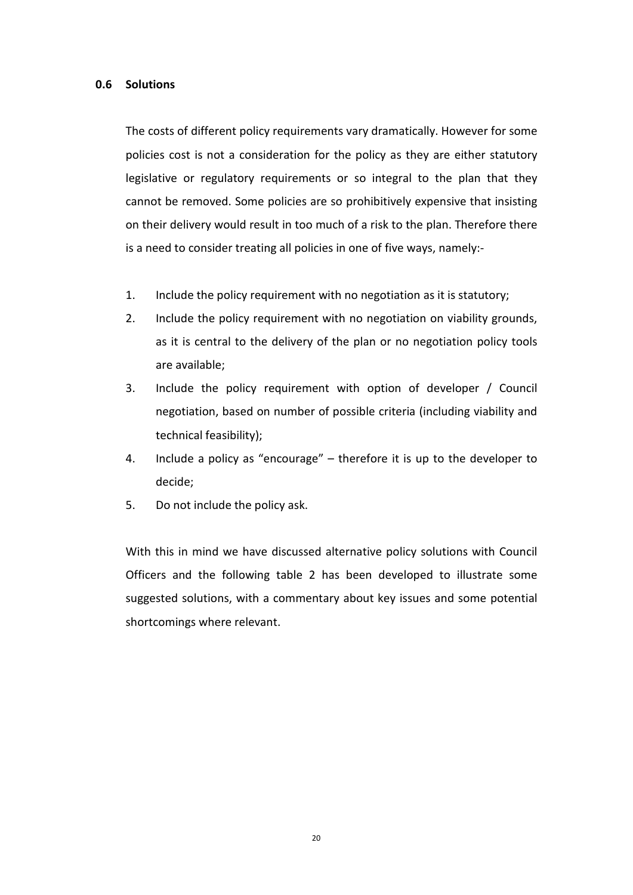### **0.6 Solutions**

 The costs of different policy requirements vary dramatically. However for some policies cost is not a consideration for the policy as they are either statutory legislative or regulatory requirements or so integral to the plan that they cannot be removed. Some policies are so prohibitively expensive that insisting on their delivery would result in too much of a risk to the plan. Therefore there is a need to consider treating all policies in one of five ways, namely:-

- 1. Include the policy requirement with no negotiation as it is statutory;
- 2. Include the policy requirement with no negotiation on viability grounds, as it is central to the delivery of the plan or no negotiation policy tools are available;
- 3. Include the policy requirement with option of developer / Council negotiation, based on number of possible criteria (including viability and technical feasibility);
- 4. Include a policy as "encourage" therefore it is up to the developer to decide;
- 5. Do not include the policy ask.

 With this in mind we have discussed alternative policy solutions with Council Officers and the following table 2 has been developed to illustrate some suggested solutions, with a commentary about key issues and some potential shortcomings where relevant.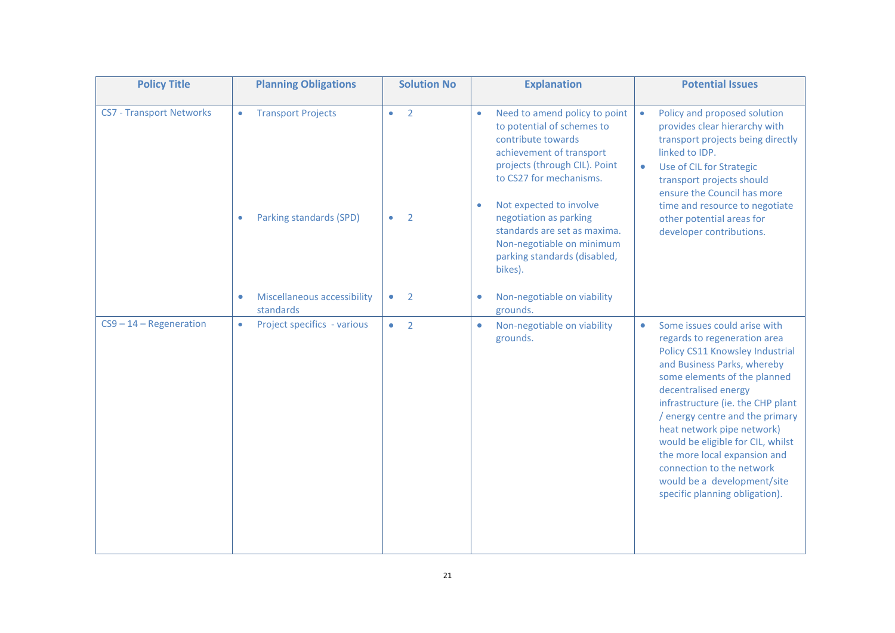| <b>Policy Title</b>             | <b>Planning Obligations</b>                                                                                                       | <b>Solution No</b>                                              | <b>Explanation</b>                                                                                                                                                                                                                                                                                                                                                                                           | <b>Potential Issues</b>                                                                                                                                                                                                                                                                                                                                                                                                                                                      |  |  |
|---------------------------------|-----------------------------------------------------------------------------------------------------------------------------------|-----------------------------------------------------------------|--------------------------------------------------------------------------------------------------------------------------------------------------------------------------------------------------------------------------------------------------------------------------------------------------------------------------------------------------------------------------------------------------------------|------------------------------------------------------------------------------------------------------------------------------------------------------------------------------------------------------------------------------------------------------------------------------------------------------------------------------------------------------------------------------------------------------------------------------------------------------------------------------|--|--|
| <b>CS7 - Transport Networks</b> | <b>Transport Projects</b><br>$\bullet$<br>Parking standards (SPD)<br>$\bullet$<br><b>Miscellaneous accessibility</b><br>$\bullet$ | $\overline{2}$<br>$\bullet$<br>2<br>$\bullet$<br>$\bullet$<br>2 | Need to amend policy to point<br>$\bullet$<br>to potential of schemes to<br>contribute towards<br>achievement of transport<br>projects (through CIL). Point<br>to CS27 for mechanisms.<br>Not expected to involve<br>$\bullet$<br>negotiation as parking<br>standards are set as maxima.<br>Non-negotiable on minimum<br>parking standards (disabled,<br>bikes).<br>Non-negotiable on viability<br>$\bullet$ | Policy and proposed solution<br>$\bullet$<br>provides clear hierarchy with<br>transport projects being directly<br>linked to IDP.<br>Use of CIL for Strategic<br>$\bullet$<br>transport projects should<br>ensure the Council has more<br>time and resource to negotiate<br>other potential areas for<br>developer contributions.                                                                                                                                            |  |  |
| $CS9 - 14 - Regeneration$       | standards<br>Project specifics - various<br>$\bullet$                                                                             | $\overline{2}$<br>$\bullet$                                     | grounds.<br>Non-negotiable on viability<br>$\bullet$<br>grounds.                                                                                                                                                                                                                                                                                                                                             | Some issues could arise with<br>$\bullet$<br>regards to regeneration area<br>Policy CS11 Knowsley Industrial<br>and Business Parks, whereby<br>some elements of the planned<br>decentralised energy<br>infrastructure (ie. the CHP plant<br>/ energy centre and the primary<br>heat network pipe network)<br>would be eligible for CIL, whilst<br>the more local expansion and<br>connection to the network<br>would be a development/site<br>specific planning obligation). |  |  |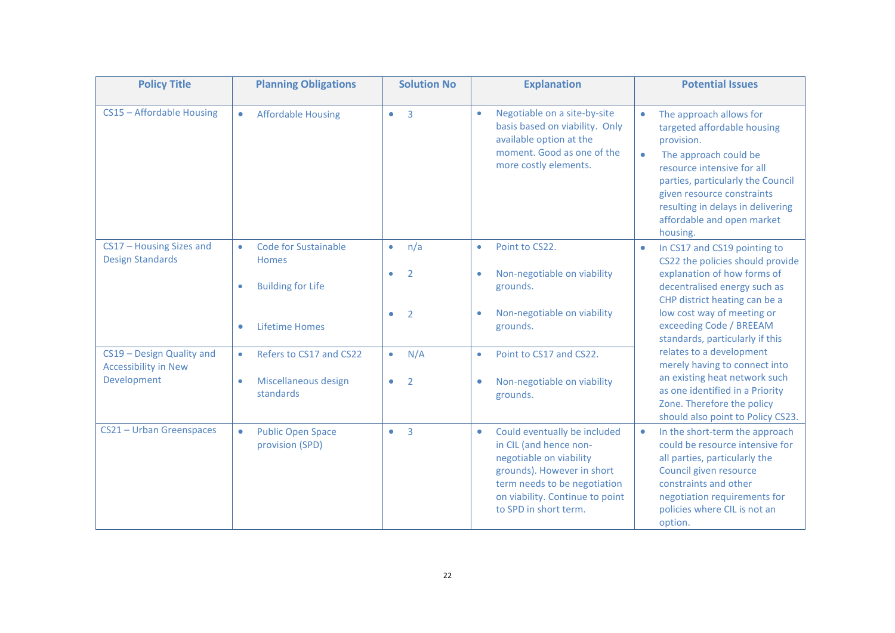| <b>Policy Title</b>                                                     | <b>Planning Obligations</b>                                                                | <b>Solution No</b>                                                             | <b>Explanation</b>                                                                                                                                                                                                       | <b>Potential Issues</b>                                                                                                                                                                                                                                                       |  |  |
|-------------------------------------------------------------------------|--------------------------------------------------------------------------------------------|--------------------------------------------------------------------------------|--------------------------------------------------------------------------------------------------------------------------------------------------------------------------------------------------------------------------|-------------------------------------------------------------------------------------------------------------------------------------------------------------------------------------------------------------------------------------------------------------------------------|--|--|
| CS15 - Affordable Housing                                               | <b>Affordable Housing</b><br>$\bullet$                                                     | $\overline{\phantom{a}}$<br>$\bullet$                                          | Negotiable on a site-by-site<br>$\bullet$<br>basis based on viability. Only<br>available option at the<br>moment. Good as one of the<br>more costly elements.                                                            | The approach allows for<br>targeted affordable housing<br>provision.<br>The approach could be<br>resource intensive for all<br>parties, particularly the Council<br>given resource constraints<br>resulting in delays in delivering<br>affordable and open market<br>housing. |  |  |
| CS17 - Housing Sizes and<br><b>Design Standards</b>                     | <b>Code for Sustainable</b><br>$\bullet$<br>Homes<br><b>Building for Life</b><br>$\bullet$ | n/a<br>$\bullet$<br>$\overline{2}$<br>$\bullet$<br>$\overline{2}$<br>$\bullet$ | Point to CS22.<br>$\bullet$<br>Non-negotiable on viability<br>$\bullet$<br>grounds.<br>Non-negotiable on viability<br>$\bullet$                                                                                          | In CS17 and CS19 pointing to<br>CS22 the policies should provide<br>explanation of how forms of<br>decentralised energy such as<br>CHP district heating can be a<br>low cost way of meeting or                                                                                |  |  |
|                                                                         | <b>Lifetime Homes</b><br>$\bullet$                                                         |                                                                                | grounds.                                                                                                                                                                                                                 | exceeding Code / BREEAM<br>standards, particularly if this                                                                                                                                                                                                                    |  |  |
| CS19 - Design Quality and<br><b>Accessibility in New</b><br>Development | Refers to CS17 and CS22<br>$\bullet$<br>Miscellaneous design<br>$\bullet$<br>standards     | N/A<br>$\bullet$<br>$\overline{2}$<br>$\bullet$                                | Point to CS17 and CS22.<br>$\bullet$<br>Non-negotiable on viability<br>$\bullet$<br>grounds.                                                                                                                             | relates to a development<br>merely having to connect into<br>an existing heat network such<br>as one identified in a Priority<br>Zone. Therefore the policy<br>should also point to Policy CS23.                                                                              |  |  |
| CS21 - Urban Greenspaces                                                | <b>Public Open Space</b><br>$\bullet$<br>provision (SPD)                                   | $\overline{3}$<br>$\bullet$                                                    | Could eventually be included<br>$\bullet$<br>in CIL (and hence non-<br>negotiable on viability<br>grounds). However in short<br>term needs to be negotiation<br>on viability. Continue to point<br>to SPD in short term. | In the short-term the approach<br>$\bullet$<br>could be resource intensive for<br>all parties, particularly the<br>Council given resource<br>constraints and other<br>negotiation requirements for<br>policies where CIL is not an<br>option.                                 |  |  |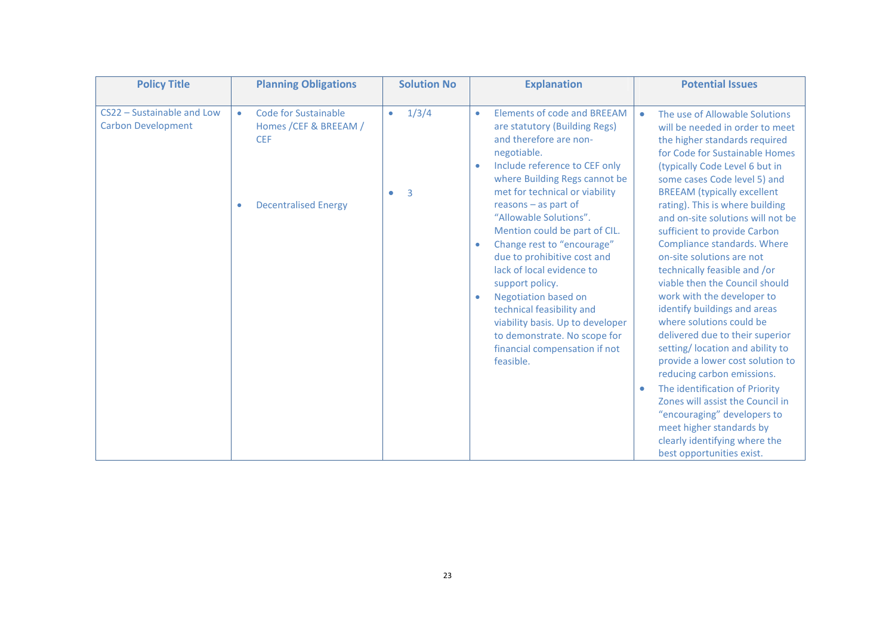| <b>Policy Title</b>                                     | <b>Planning Obligations</b>                                                                                           | <b>Solution No</b>                                | <b>Explanation</b>                                                                                                                                                                                                                                                                                                                                                                                                            | <b>Potential Issues</b>                                                                                                                                                                                                                                                                                                                                                                                                                                          |
|---------------------------------------------------------|-----------------------------------------------------------------------------------------------------------------------|---------------------------------------------------|-------------------------------------------------------------------------------------------------------------------------------------------------------------------------------------------------------------------------------------------------------------------------------------------------------------------------------------------------------------------------------------------------------------------------------|------------------------------------------------------------------------------------------------------------------------------------------------------------------------------------------------------------------------------------------------------------------------------------------------------------------------------------------------------------------------------------------------------------------------------------------------------------------|
| CS22 - Sustainable and Low<br><b>Carbon Development</b> | Code for Sustainable<br>$\bullet$<br>Homes / CEF & BREEAM /<br><b>CEF</b><br><b>Decentralised Energy</b><br>$\bullet$ | 1/3/4<br>$\bullet$<br>$\overline{3}$<br>$\bullet$ | Elements of code and BREEAM<br>$\bullet$<br>are statutory (Building Regs)<br>and therefore are non-<br>negotiable.<br>Include reference to CEF only<br>$\bullet$<br>where Building Regs cannot be<br>met for technical or viability<br>reasons - as part of<br>"Allowable Solutions".<br>Mention could be part of CIL.<br>Change rest to "encourage"<br>$\bullet$<br>due to prohibitive cost and<br>lack of local evidence to | The use of Allowable Solutions<br>will be needed in order to meet<br>the higher standards required<br>for Code for Sustainable Homes<br>(typically Code Level 6 but in<br>some cases Code level 5) and<br><b>BREEAM</b> (typically excellent<br>rating). This is where building<br>and on-site solutions will not be<br>sufficient to provide Carbon<br>Compliance standards. Where<br>on-site solutions are not<br>technically feasible and /or                 |
|                                                         |                                                                                                                       |                                                   | support policy.<br><b>Negotiation based on</b><br>$\bullet$<br>technical feasibility and<br>viability basis. Up to developer<br>to demonstrate. No scope for<br>financial compensation if not<br>feasible.                                                                                                                                                                                                                    | viable then the Council should<br>work with the developer to<br>identify buildings and areas<br>where solutions could be<br>delivered due to their superior<br>setting/ location and ability to<br>provide a lower cost solution to<br>reducing carbon emissions.<br>The identification of Priority<br>Zones will assist the Council in<br>"encouraging" developers to<br>meet higher standards by<br>clearly identifying where the<br>best opportunities exist. |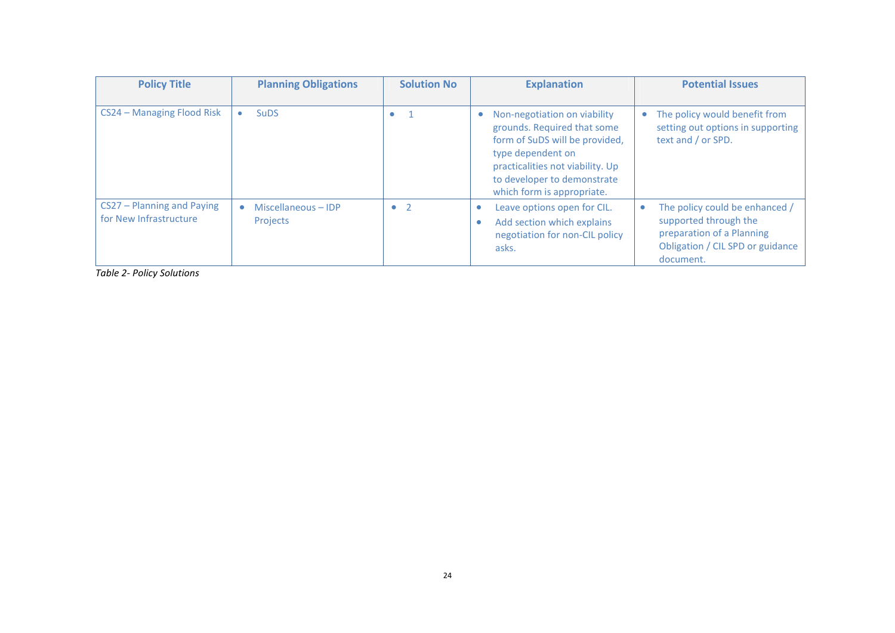| <b>Policy Title</b>                                  | <b>Planning Obligations</b>     | <b>Solution No</b> | <b>Explanation</b>                                                                                                                                                                                                  | <b>Potential Issues</b>                                                                                                               |  |  |
|------------------------------------------------------|---------------------------------|--------------------|---------------------------------------------------------------------------------------------------------------------------------------------------------------------------------------------------------------------|---------------------------------------------------------------------------------------------------------------------------------------|--|--|
| CS24 - Managing Flood Risk                           | <b>SuDS</b><br>$\bullet$        | $\bullet$          | Non-negotiation on viability<br>grounds. Required that some<br>form of SuDS will be provided,<br>type dependent on<br>practicalities not viability. Up<br>to developer to demonstrate<br>which form is appropriate. | • The policy would benefit from<br>setting out options in supporting<br>text and / or SPD.                                            |  |  |
| CS27 - Planning and Paying<br>for New Infrastructure | Miscellaneous - IDP<br>Projects | $\bullet$ 2        | Leave options open for CIL.<br>$\bullet$<br>Add section which explains<br>$\bullet$<br>negotiation for non-CIL policy<br>asks.                                                                                      | The policy could be enhanced /<br>supported through the<br>preparation of a Planning<br>Obligation / CIL SPD or guidance<br>document. |  |  |

*Table 2- Policy Solutions*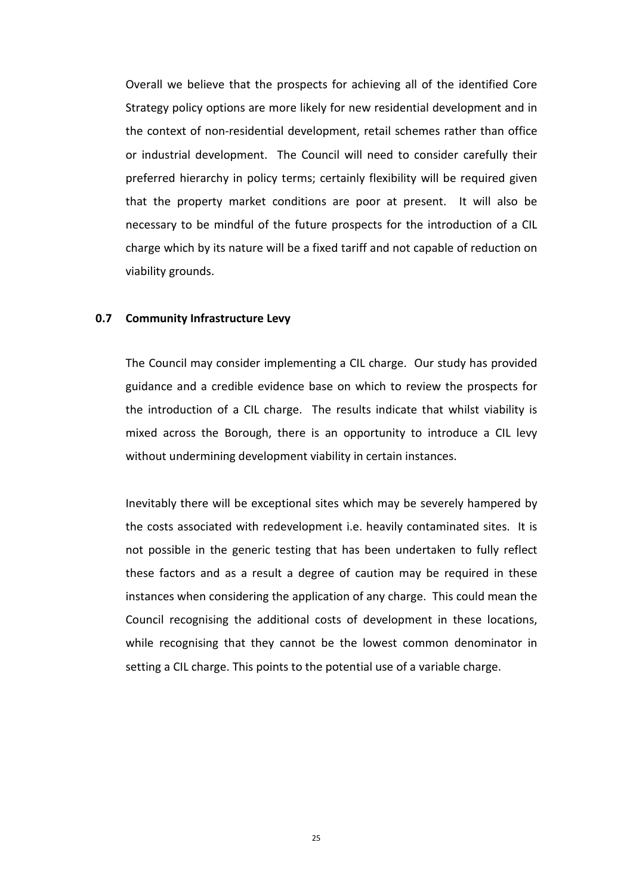Overall we believe that the prospects for achieving all of the identified Core Strategy policy options are more likely for new residential development and in the context of non-residential development, retail schemes rather than office or industrial development. The Council will need to consider carefully their preferred hierarchy in policy terms; certainly flexibility will be required given that the property market conditions are poor at present. It will also be necessary to be mindful of the future prospects for the introduction of a CIL charge which by its nature will be a fixed tariff and not capable of reduction on viability grounds.

#### **0.7 Community Infrastructure Levy**

 The Council may consider implementing a CIL charge. Our study has provided guidance and a credible evidence base on which to review the prospects for the introduction of a CIL charge. The results indicate that whilst viability is mixed across the Borough, there is an opportunity to introduce a CIL levy without undermining development viability in certain instances.

 Inevitably there will be exceptional sites which may be severely hampered by the costs associated with redevelopment i.e. heavily contaminated sites. It is not possible in the generic testing that has been undertaken to fully reflect these factors and as a result a degree of caution may be required in these instances when considering the application of any charge. This could mean the Council recognising the additional costs of development in these locations, while recognising that they cannot be the lowest common denominator in setting a CIL charge. This points to the potential use of a variable charge.